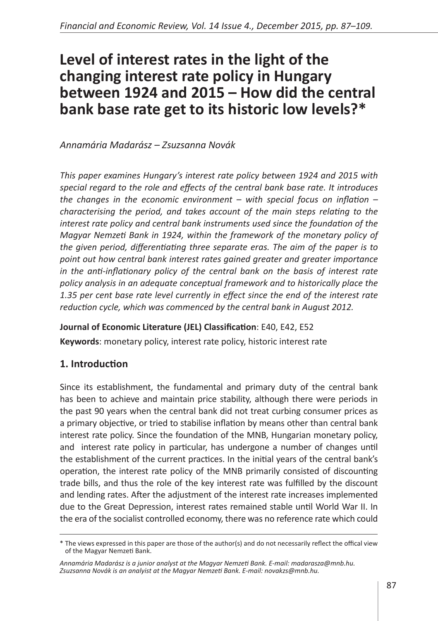# **Level of interest rates in the light of the changing interest rate policy in Hungary between 1924 and 2015 – How did the central bank base rate get to its historic low levels?\***

*Annamária Madarász – Zsuzsanna Novák*

*This paper examines Hungary's interest rate policy between 1924 and 2015 with special regard to the role and effects of the central bank base rate. It introduces the changes in the economic environment – with special focus on inflation – characterising the period, and takes account of the main steps relating to the interest rate policy and central bank instruments used since the foundation of the Magyar Nemzeti Bank in 1924, within the framework of the monetary policy of the given period, differentiating three separate eras. The aim of the paper is to point out how central bank interest rates gained greater and greater importance in the anti-inflationary policy of the central bank on the basis of interest rate policy analysis in an adequate conceptual framework and to historically place the 1.35 per cent base rate level currently in effect since the end of the interest rate reduction cycle, which was commenced by the central bank in August 2012.*

## **Journal of Economic Literature (JEL) Classification**: E40, E42, E52

**Keywords**: monetary policy, interest rate policy, historic interest rate

## **1. Introduction**

Since its establishment, the fundamental and primary duty of the central bank has been to achieve and maintain price stability, although there were periods in the past 90 years when the central bank did not treat curbing consumer prices as a primary objective, or tried to stabilise inflation by means other than central bank interest rate policy. Since the foundation of the MNB, Hungarian monetary policy, and interest rate policy in particular, has undergone a number of changes until the establishment of the current practices. In the initial years of the central bank's operation, the interest rate policy of the MNB primarily consisted of discounting trade bills, and thus the role of the key interest rate was fulfilled by the discount and lending rates. After the adjustment of the interest rate increases implemented due to the Great Depression, interest rates remained stable until World War II. In the era of the socialist controlled economy, there was no reference rate which could

<sup>\*</sup> The views expressed in this paper are those of the author(s) and do not necessarily reflect the offical view of the Magyar Nemzeti Bank.

*Annamária Madarász is a junior analyst at the Magyar Nemzeti Bank. E-mail: madarasza@mnb.hu. Zsuzsanna Novák is an analyist at the Magyar Nemzeti Bank. E-mail: novakzs@mnb.hu.*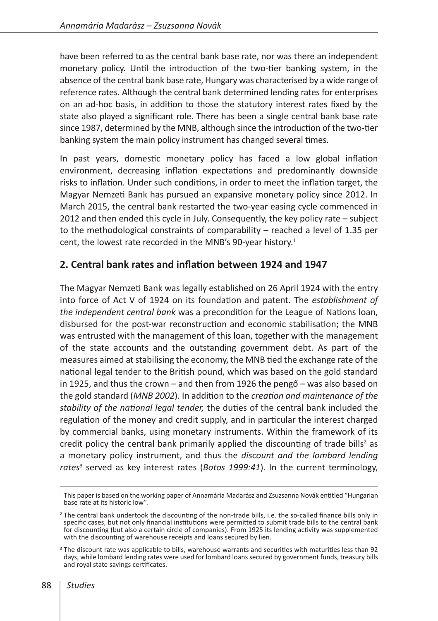have been referred to as the central bank base rate, nor was there an independent monetary policy. Until the introduction of the two-tier banking system, in the absence of the central bank base rate, Hungary was characterised by a wide range of reference rates. Although the central bank determined lending rates for enterprises on an ad-hoc basis, in addition to those the statutory interest rates fixed by the state also played a significant role. There has been a single central bank base rate since 1987, determined by the MNB, although since the introduction of the two-tier banking system the main policy instrument has changed several times.

In past years, domestic monetary policy has faced a low global inflation environment, decreasing inflation expectations and predominantly downside risks to inflation. Under such conditions, in order to meet the inflation target, the Magyar Nemzeti Bank has pursued an expansive monetary policy since 2012. In March 2015, the central bank restarted the two-year easing cycle commenced in 2012 and then ended this cycle in July. Consequently, the key policy rate – subject to the methodological constraints of comparability – reached a level of 1.35 per cent, the lowest rate recorded in the MNB's 90-year history.<sup>1</sup>

# **2. Central bank rates and inflation between 1924 and 1947**

The Magyar Nemzeti Bank was legally established on 26 April 1924 with the entry into force of Act V of 1924 on its foundation and patent. The *establishment of the independent central bank* was a precondition for the League of Nations loan, disbursed for the post-war reconstruction and economic stabilisation; the MNB was entrusted with the management of this loan, together with the management of the state accounts and the outstanding government debt. As part of the measures aimed at stabilising the economy, the MNB tied the exchange rate of the national legal tender to the British pound, which was based on the gold standard in 1925, and thus the crown – and then from 1926 the pengő – was also based on the gold standard (*MNB 2002*). In addition to the *creation and maintenance of the stability of the national legal tender,* the duties of the central bank included the regulation of the money and credit supply, and in particular the interest charged by commercial banks, using monetary instruments. Within the framework of its credit policy the central bank primarily applied the discounting of trade bills<sup>2</sup> as a monetary policy instrument, and thus the *discount and the lombard lending rates*<sup>3</sup> served as key interest rates (*Botos 1999:41*). In the current terminology,

<sup>1</sup> This paper is based on the working paper of Annamária Madarász and Zsuzsanna Novák entitled "Hungarian base rate at its historic low".

<sup>&</sup>lt;sup>2</sup> The central bank undertook the discounting of the non-trade bills, i.e. the so-called finance bills only in specific cases, but not only financial institutions were permitted to submit trade bills to the central bank for discounting (but also a certain circle of companies). From 1925 its lending activity was supplemented with the discounting of warehouse receipts and loans secured by lien.

<sup>&</sup>lt;sup>3</sup> The discount rate was applicable to bills, warehouse warrants and securities with maturities less than 92 days, while lombard lending rates were used for lombard loans secured by government funds, treasury bills and royal state savings certificates.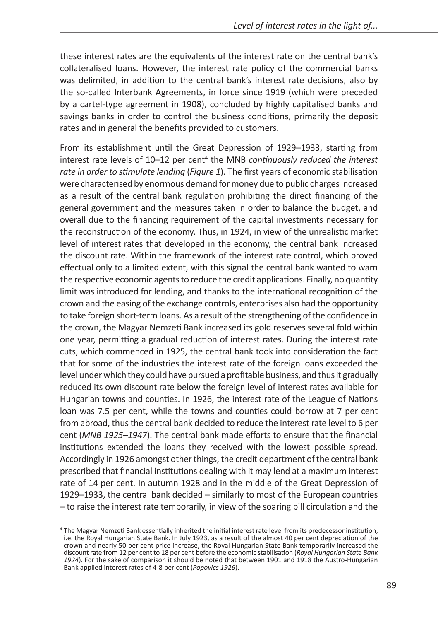these interest rates are the equivalents of the interest rate on the central bank's collateralised loans. However, the interest rate policy of the commercial banks was delimited, in addition to the central bank's interest rate decisions, also by the so-called Interbank Agreements, in force since 1919 (which were preceded by a cartel-type agreement in 1908), concluded by highly capitalised banks and savings banks in order to control the business conditions, primarily the deposit rates and in general the benefits provided to customers.

From its establishment until the Great Depression of 1929–1933, starting from interest rate levels of 10–12 per cent<sup>4</sup> the MNB *continuously reduced the interest rate in order to stimulate lending* (*Figure 1*). The first years of economic stabilisation were characterised by enormous demand for money due to public charges increased as a result of the central bank regulation prohibiting the direct financing of the general government and the measures taken in order to balance the budget, and overall due to the financing requirement of the capital investments necessary for the reconstruction of the economy. Thus, in 1924, in view of the unrealistic market level of interest rates that developed in the economy, the central bank increased the discount rate. Within the framework of the interest rate control, which proved effectual only to a limited extent, with this signal the central bank wanted to warn the respective economic agents to reduce the credit applications. Finally, no quantity limit was introduced for lending, and thanks to the international recognition of the crown and the easing of the exchange controls, enterprises also had the opportunity to take foreign short-term loans. As a result of the strengthening of the confidence in the crown, the Magyar Nemzeti Bank increased its gold reserves several fold within one year, permitting a gradual reduction of interest rates. During the interest rate cuts, which commenced in 1925, the central bank took into consideration the fact that for some of the industries the interest rate of the foreign loans exceeded the level under which they could have pursued a profitable business, and thus it gradually reduced its own discount rate below the foreign level of interest rates available for Hungarian towns and counties. In 1926, the interest rate of the League of Nations loan was 7.5 per cent, while the towns and counties could borrow at 7 per cent from abroad, thus the central bank decided to reduce the interest rate level to 6 per cent (*MNB 1925–1947*). The central bank made efforts to ensure that the financial institutions extended the loans they received with the lowest possible spread. Accordingly in 1926 amongst other things, the credit department of the central bank prescribed that financial institutions dealing with it may lend at a maximum interest rate of 14 per cent. In autumn 1928 and in the middle of the Great Depression of 1929–1933, the central bank decided – similarly to most of the European countries – to raise the interest rate temporarily, in view of the soaring bill circulation and the

<sup>4</sup> The Magyar Nemzeti Bank essentially inherited the initial interest rate level from its predecessor institution, i.e. the Royal Hungarian State Bank. In July 1923, as a result of the almost 40 per cent depreciation of the crown and nearly 50 per cent price increase, the Royal Hungarian State Bank temporarily increased the discount rate from 12 per cent to 18 per cent before the economic stabilisation (*Royal Hungarian State Bank 1924*). For the sake of comparison it should be noted that between 1901 and 1918 the Austro-Hungarian Bank applied interest rates of 4-8 per cent (*Popovics 1926*).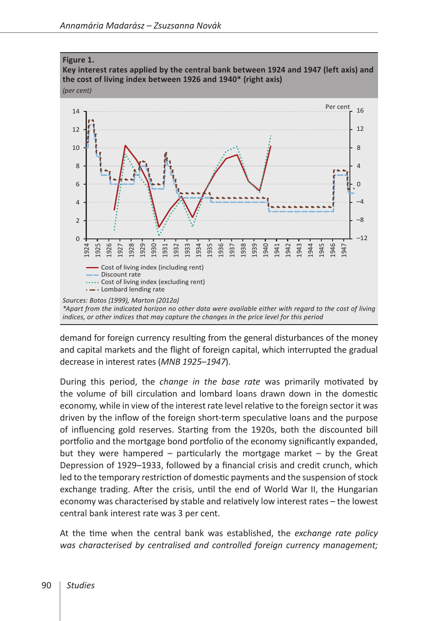

demand for foreign currency resulting from the general disturbances of the money and capital markets and the flight of foreign capital, which interrupted the gradual decrease in interest rates (*MNB 1925–1947*).

During this period, the *change in the base rate* was primarily motivated by the volume of bill circulation and lombard loans drawn down in the domestic economy, while in view of the interest rate level relative to the foreign sector it was driven by the inflow of the foreign short-term speculative loans and the purpose of influencing gold reserves. Starting from the 1920s, both the discounted bill portfolio and the mortgage bond portfolio of the economy significantly expanded, but they were hampered – particularly the mortgage market – by the Great Depression of 1929–1933, followed by a financial crisis and credit crunch, which led to the temporary restriction of domestic payments and the suspension of stock exchange trading. After the crisis, until the end of World War II, the Hungarian economy was characterised by stable and relatively low interest rates – the lowest central bank interest rate was 3 per cent.

At the time when the central bank was established, the *exchange rate policy was characterised by centralised and controlled foreign currency management;*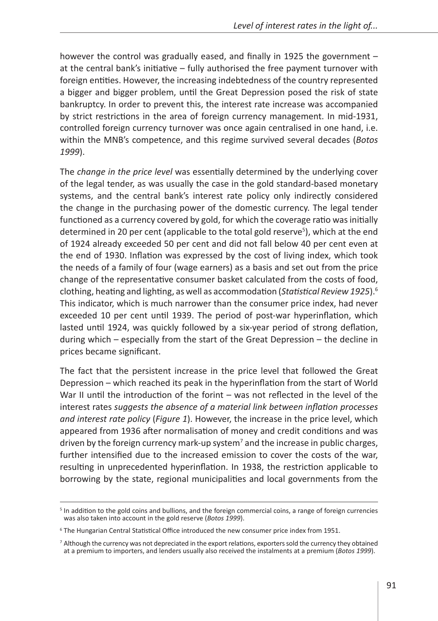however the control was gradually eased, and finally in 1925 the government – at the central bank's initiative – fully authorised the free payment turnover with foreign entities. However, the increasing indebtedness of the country represented a bigger and bigger problem, until the Great Depression posed the risk of state bankruptcy. In order to prevent this, the interest rate increase was accompanied by strict restrictions in the area of foreign currency management. In mid-1931, controlled foreign currency turnover was once again centralised in one hand, i.e. within the MNB's competence, and this regime survived several decades (*Botos 1999*).

The *change in the price level* was essentially determined by the underlying cover of the legal tender, as was usually the case in the gold standard-based monetary systems, and the central bank's interest rate policy only indirectly considered the change in the purchasing power of the domestic currency. The legal tender functioned as a currency covered by gold, for which the coverage ratio was initially determined in 20 per cent (applicable to the total gold reserve<sup>5</sup>), which at the end of 1924 already exceeded 50 per cent and did not fall below 40 per cent even at the end of 1930. Inflation was expressed by the cost of living index, which took the needs of a family of four (wage earners) as a basis and set out from the price change of the representative consumer basket calculated from the costs of food, clothing, heating and lighting, as well as accommodation (*Statistical Review 1925*).6 This indicator, which is much narrower than the consumer price index, had never exceeded 10 per cent until 1939. The period of post-war hyperinflation, which lasted until 1924, was quickly followed by a six-year period of strong deflation, during which – especially from the start of the Great Depression – the decline in prices became significant.

The fact that the persistent increase in the price level that followed the Great Depression – which reached its peak in the hyperinflation from the start of World War II until the introduction of the forint – was not reflected in the level of the interest rates *suggests the absence of a material link between inflation processes and interest rate policy* (*Figure 1*). However, the increase in the price level, which appeared from 1936 after normalisation of money and credit conditions and was driven by the foreign currency mark-up system<sup>7</sup> and the increase in public charges, further intensified due to the increased emission to cover the costs of the war, resulting in unprecedented hyperinflation. In 1938, the restriction applicable to borrowing by the state, regional municipalities and local governments from the

<sup>&</sup>lt;sup>5</sup> In addition to the gold coins and bullions, and the foreign commercial coins, a range of foreign currencies was also taken into account in the gold reserve (*Botos 1999*).

<sup>6</sup> The Hungarian Central Statistical Office introduced the new consumer price index from 1951.

<sup>&</sup>lt;sup>7</sup> Although the currency was not depreciated in the export relations, exporters sold the currency they obtained at a premium to importers, and lenders usually also received the instalments at a premium (*Botos 1999*).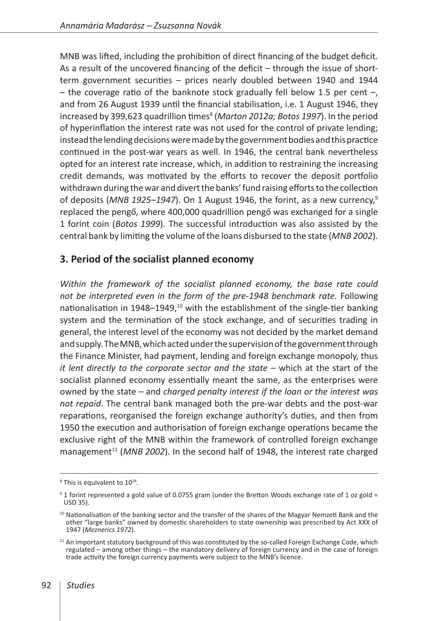MNB was lifted, including the prohibition of direct financing of the budget deficit. As a result of the uncovered financing of the deficit – through the issue of shortterm government securities – prices nearly doubled between 1940 and 1944 – the coverage ratio of the banknote stock gradually fell below 1.5 per cent  $-$ , and from 26 August 1939 until the financial stabilisation, i.e. 1 August 1946, they increased by 399,623 quadrillion times<sup>8</sup> (Marton 2012a; Botos 1997). In the period of hyperinflation the interest rate was not used for the control of private lending; instead the lending decisions were made by the government bodies and this practice continued in the post-war years as well. In 1946, the central bank nevertheless opted for an interest rate increase, which, in addition to restraining the increasing credit demands, was motivated by the efforts to recover the deposit portfolio withdrawn during the war and divert the banks' fund raising efforts to the collection of deposits (*MNB 1925*–*1947*). On 1 August 1946, the forint, as a new currency,9 replaced the pengő, where 400,000 quadrillion pengő was exchanged for a single 1 forint coin (*Botos 1999*). The successful introduction was also assisted by the central bank by limiting the volume of the loans disbursed to the state (*MNB 2002*).

## **3. Period of the socialist planned economy**

*Within the framework of the socialist planned economy, the base rate could not be interpreted even in the form of the pre-1948 benchmark rate.* Following nationalisation in 1948–1949, $10$  with the establishment of the single-tier banking system and the termination of the stock exchange, and of securities trading in general, the interest level of the economy was not decided by the market demand and supply. The MNB, which acted under the supervision of the government through the Finance Minister, had payment, lending and foreign exchange monopoly, thus *it lent directly to the corporate sector and the state* – which at the start of the socialist planned economy essentially meant the same, as the enterprises were owned by the state – and *charged penalty interest if the loan or the interest was not repaid*. The central bank managed both the pre-war debts and the post-war reparations, reorganised the foreign exchange authority's duties, and then from 1950 the execution and authorisation of foreign exchange operations became the exclusive right of the MNB within the framework of controlled foreign exchange management<sup>11</sup> (MNB 2002). In the second half of 1948, the interest rate charged

 $8$  This is equivalent to  $10^{24}$ .

 $9$  1 forint represented a gold value of 0.0755 gram (under the Bretton Woods exchange rate of 1 oz gold = USD 35).

<sup>&</sup>lt;sup>10</sup> Nationalisation of the banking sector and the transfer of the shares of the Magyar Nemzeti Bank and the other "large banks" owned by domestic shareholders to state ownership was prescribed by Act XXX of 1947 (*Meznerics 1972*).

 $11$  An important statutory background of this was constituted by the so-called Foreign Exchange Code, which regulated – among other things – the mandatory delivery of foreign currency and in the case of foreign trade activity the foreign currency payments were subject to the MNB's licence.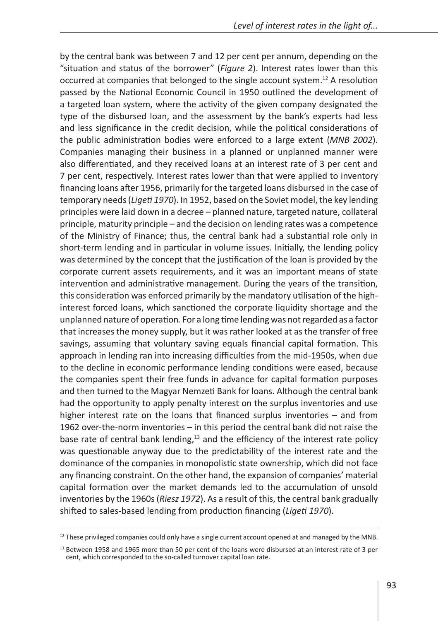by the central bank was between 7 and 12 per cent per annum, depending on the "situation and status of the borrower" (*Figure 2*). Interest rates lower than this occurred at companies that belonged to the single account system.12 A resolution passed by the National Economic Council in 1950 outlined the development of a targeted loan system, where the activity of the given company designated the type of the disbursed loan, and the assessment by the bank's experts had less and less significance in the credit decision, while the political considerations of the public administration bodies were enforced to a large extent (*MNB 2002*). Companies managing their business in a planned or unplanned manner were also differentiated, and they received loans at an interest rate of 3 per cent and 7 per cent, respectively. Interest rates lower than that were applied to inventory financing loans after 1956, primarily for the targeted loans disbursed in the case of temporary needs (*Ligeti 1970*). In 1952, based on the Soviet model, the key lending principles were laid down in a decree – planned nature, targeted nature, collateral principle, maturity principle – and the decision on lending rates was a competence of the Ministry of Finance; thus, the central bank had a substantial role only in short-term lending and in particular in volume issues. Initially, the lending policy was determined by the concept that the justification of the loan is provided by the corporate current assets requirements, and it was an important means of state intervention and administrative management. During the years of the transition, this consideration was enforced primarily by the mandatory utilisation of the highinterest forced loans, which sanctioned the corporate liquidity shortage and the unplanned nature of operation. For a long time lending was not regarded as a factor that increases the money supply, but it was rather looked at as the transfer of free savings, assuming that voluntary saving equals financial capital formation. This approach in lending ran into increasing difficulties from the mid-1950s, when due to the decline in economic performance lending conditions were eased, because the companies spent their free funds in advance for capital formation purposes and then turned to the Magyar Nemzeti Bank for loans. Although the central bank had the opportunity to apply penalty interest on the surplus inventories and use higher interest rate on the loans that financed surplus inventories – and from 1962 over-the-norm inventories – in this period the central bank did not raise the base rate of central bank lending,<sup>13</sup> and the efficiency of the interest rate policy was questionable anyway due to the predictability of the interest rate and the dominance of the companies in monopolistic state ownership, which did not face any financing constraint. On the other hand, the expansion of companies' material capital formation over the market demands led to the accumulation of unsold inventories by the 1960s (*Riesz 1972*). As a result of this, the central bank gradually shifted to sales-based lending from production financing (*Ligeti 1970*).

 $12$  These privileged companies could only have a single current account opened at and managed by the MNB.

<sup>&</sup>lt;sup>13</sup> Between 1958 and 1965 more than 50 per cent of the loans were disbursed at an interest rate of 3 per cent, which corresponded to the so-called turnover capital loan rate.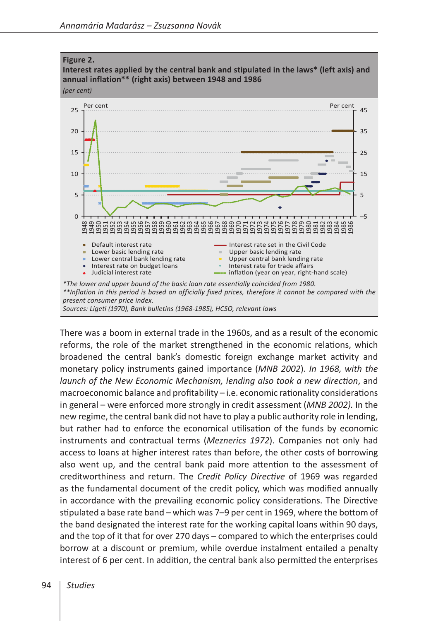

There was a boom in external trade in the 1960s, and as a result of the economic reforms, the role of the market strengthened in the economic relations, which broadened the central bank's domestic foreign exchange market activity and monetary policy instruments gained importance (*MNB 2002*). *In 1968, with the launch of the New Economic Mechanism, lending also took a new direction*, and macroeconomic balance and profitability – i.e. economic rationality considerations in general – were enforced more strongly in credit assessment (*MNB 2002).* In the new regime, the central bank did not have to play a public authority role in lending, but rather had to enforce the economical utilisation of the funds by economic instruments and contractual terms (*Meznerics 1972*). Companies not only had access to loans at higher interest rates than before, the other costs of borrowing also went up, and the central bank paid more attention to the assessment of creditworthiness and return. The *Credit Policy Directive* of 1969 was regarded as the fundamental document of the credit policy, which was modified annually in accordance with the prevailing economic policy considerations. The Directive stipulated a base rate band – which was 7–9 per cent in 1969, where the bottom of the band designated the interest rate for the working capital loans within 90 days, and the top of it that for over 270 days – compared to which the enterprises could borrow at a discount or premium, while overdue instalment entailed a penalty interest of 6 per cent. In addition, the central bank also permitted the enterprises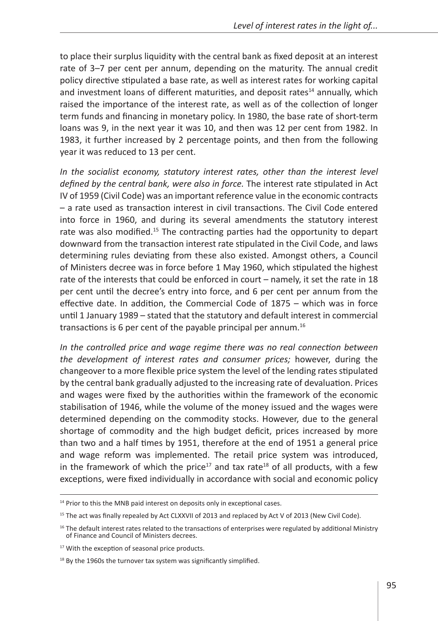to place their surplus liquidity with the central bank as fixed deposit at an interest rate of 3–7 per cent per annum, depending on the maturity. The annual credit policy directive stipulated a base rate, as well as interest rates for working capital and investment loans of different maturities, and deposit rates<sup>14</sup> annually, which raised the importance of the interest rate, as well as of the collection of longer term funds and financing in monetary policy. In 1980, the base rate of short-term loans was 9, in the next year it was 10, and then was 12 per cent from 1982. In 1983, it further increased by 2 percentage points, and then from the following year it was reduced to 13 per cent.

*In the socialist economy, statutory interest rates, other than the interest level defined by the central bank, were also in force.* The interest rate stipulated in Act IV of 1959 (Civil Code) was an important reference value in the economic contracts – a rate used as transaction interest in civil transactions. The Civil Code entered into force in 1960, and during its several amendments the statutory interest rate was also modified.<sup>15</sup> The contracting parties had the opportunity to depart downward from the transaction interest rate stipulated in the Civil Code, and laws determining rules deviating from these also existed. Amongst others, a Council of Ministers decree was in force before 1 May 1960, which stipulated the highest rate of the interests that could be enforced in court – namely, it set the rate in 18 per cent until the decree's entry into force, and 6 per cent per annum from the effective date. In addition, the Commercial Code of 1875 – which was in force until 1 January 1989 – stated that the statutory and default interest in commercial transactions is 6 per cent of the payable principal per annum.<sup>16</sup>

*In the controlled price and wage regime there was no real connection between the development of interest rates and consumer prices;* however, during the changeover to a more flexible price system the level of the lending rates stipulated by the central bank gradually adjusted to the increasing rate of devaluation. Prices and wages were fixed by the authorities within the framework of the economic stabilisation of 1946, while the volume of the money issued and the wages were determined depending on the commodity stocks. However, due to the general shortage of commodity and the high budget deficit, prices increased by more than two and a half times by 1951, therefore at the end of 1951 a general price and wage reform was implemented. The retail price system was introduced, in the framework of which the price<sup>17</sup> and tax rate<sup>18</sup> of all products, with a few exceptions, were fixed individually in accordance with social and economic policy

<sup>&</sup>lt;sup>14</sup> Prior to this the MNB paid interest on deposits only in exceptional cases.

<sup>&</sup>lt;sup>15</sup> The act was finally repealed by Act CLXXVII of 2013 and replaced by Act V of 2013 (New Civil Code).

<sup>&</sup>lt;sup>16</sup> The default interest rates related to the transactions of enterprises were regulated by additional Ministry of Finance and Council of Ministers decrees.

<sup>&</sup>lt;sup>17</sup> With the exception of seasonal price products.

 $18$  By the 1960s the turnover tax system was significantly simplified.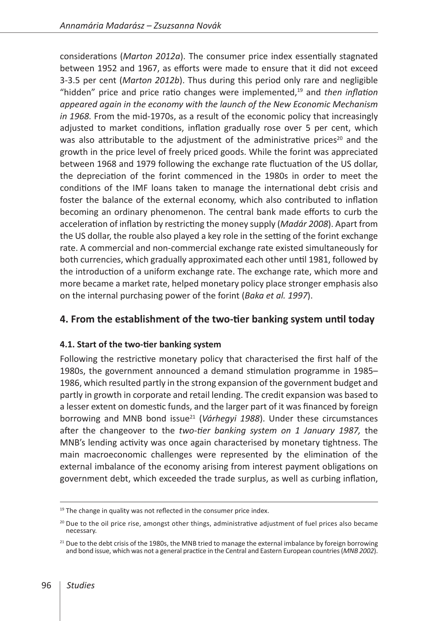considerations (*Marton 2012a*). The consumer price index essentially stagnated between 1952 and 1967, as efforts were made to ensure that it did not exceed 3-3.5 per cent (*Marton 2012b*). Thus during this period only rare and negligible "hidden" price and price ratio changes were implemented,<sup>19</sup> and *then inflation appeared again in the economy with the launch of the New Economic Mechanism in 1968.* From the mid-1970s, as a result of the economic policy that increasingly adjusted to market conditions, inflation gradually rose over 5 per cent, which was also attributable to the adjustment of the administrative prices<sup>20</sup> and the growth in the price level of freely priced goods. While the forint was appreciated between 1968 and 1979 following the exchange rate fluctuation of the US dollar, the depreciation of the forint commenced in the 1980s in order to meet the conditions of the IMF loans taken to manage the international debt crisis and foster the balance of the external economy, which also contributed to inflation becoming an ordinary phenomenon. The central bank made efforts to curb the acceleration of inflation by restricting the money supply (*Madár 2008*). Apart from the US dollar, the rouble also played a key role in the setting of the forint exchange rate. A commercial and non-commercial exchange rate existed simultaneously for both currencies, which gradually approximated each other until 1981, followed by the introduction of a uniform exchange rate. The exchange rate, which more and more became a market rate, helped monetary policy place stronger emphasis also on the internal purchasing power of the forint (*Baka et al. 1997*).

## **4. From the establishment of the two-tier banking system until today**

#### **4.1. Start of the two-tier banking system**

Following the restrictive monetary policy that characterised the first half of the 1980s, the government announced a demand stimulation programme in 1985– 1986, which resulted partly in the strong expansion of the government budget and partly in growth in corporate and retail lending. The credit expansion was based to a lesser extent on domestic funds, and the larger part of it was financed by foreign borrowing and MNB bond issue<sup>21</sup> (Várhegyi 1988). Under these circumstances after the changeover to the *two-tier banking system on 1 January 1987,* the MNB's lending activity was once again characterised by monetary tightness. The main macroeconomic challenges were represented by the elimination of the external imbalance of the economy arising from interest payment obligations on government debt, which exceeded the trade surplus, as well as curbing inflation,

 $19$  The change in quality was not reflected in the consumer price index.

 $20$  Due to the oil price rise, amongst other things, administrative adjustment of fuel prices also became necessary.

<sup>&</sup>lt;sup>21</sup> Due to the debt crisis of the 1980s, the MNB tried to manage the external imbalance by foreign borrowing and bond issue, which was not a general practice in the Central and Eastern European countries (*MNB 2002*).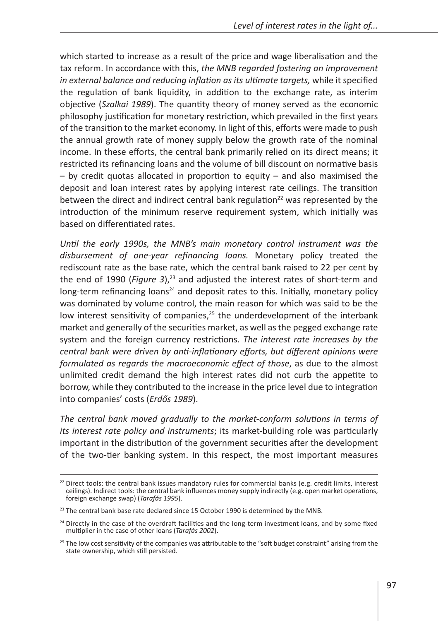which started to increase as a result of the price and wage liberalisation and the tax reform. In accordance with this, *the MNB regarded fostering an improvement in external balance and reducing inflation as its ultimate targets, while it specified* the regulation of bank liquidity, in addition to the exchange rate, as interim objective (*Szalkai 1989*). The quantity theory of money served as the economic philosophy justification for monetary restriction, which prevailed in the first years of the transition to the market economy. In light of this, efforts were made to push the annual growth rate of money supply below the growth rate of the nominal income. In these efforts, the central bank primarily relied on its direct means; it restricted its refinancing loans and the volume of bill discount on normative basis – by credit quotas allocated in proportion to equity – and also maximised the deposit and loan interest rates by applying interest rate ceilings. The transition between the direct and indirect central bank regulation<sup>22</sup> was represented by the introduction of the minimum reserve requirement system, which initially was based on differentiated rates.

*Until the early 1990s, the MNB's main monetary control instrument was the disbursement of one-year refinancing loans.* Monetary policy treated the rediscount rate as the base rate, which the central bank raised to 22 per cent by the end of 1990 (*Figure 3*),<sup>23</sup> and adjusted the interest rates of short-term and long-term refinancing loans<sup>24</sup> and deposit rates to this. Initially, monetary policy was dominated by volume control, the main reason for which was said to be the low interest sensitivity of companies,<sup>25</sup> the underdevelopment of the interbank market and generally of the securities market, as well as the pegged exchange rate system and the foreign currency restrictions. *The interest rate increases by the central bank were driven by anti-inflationary efforts, but different opinions were formulated as regards the macroeconomic effect of those*, as due to the almost unlimited credit demand the high interest rates did not curb the appetite to borrow, while they contributed to the increase in the price level due to integration into companies' costs (*Erdős 1989*).

*The central bank moved gradually to the market-conform solutions in terms of its interest rate policy and instruments*; its market-building role was particularly important in the distribution of the government securities after the development of the two-tier banking system. In this respect, the most important measures

 $22$  Direct tools: the central bank issues mandatory rules for commercial banks (e.g. credit limits, interest ceilings). Indirect tools: the central bank influences money supply indirectly (e.g. open market operations, foreign exchange swap) (*Tarafás 1995*).

<sup>&</sup>lt;sup>23</sup> The central bank base rate declared since 15 October 1990 is determined by the MNB.

<sup>&</sup>lt;sup>24</sup> Directly in the case of the overdraft facilities and the long-term investment loans, and by some fixed multiplier in the case of other loans (*Tarafás 2002*).

<sup>&</sup>lt;sup>25</sup> The low cost sensitivity of the companies was attributable to the "soft budget constraint" arising from the state ownership, which still persisted.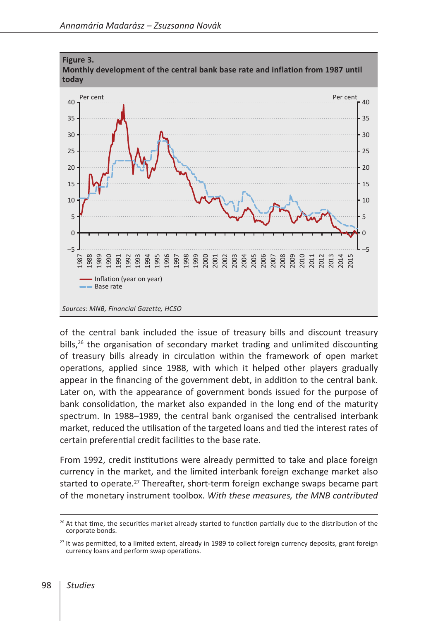

of the central bank included the issue of treasury bills and discount treasury bills,<sup>26</sup> the organisation of secondary market trading and unlimited discounting of treasury bills already in circulation within the framework of open market operations, applied since 1988, with which it helped other players gradually appear in the financing of the government debt, in addition to the central bank. Later on, with the appearance of government bonds issued for the purpose of bank consolidation, the market also expanded in the long end of the maturity spectrum. In 1988–1989, the central bank organised the centralised interbank market, reduced the utilisation of the targeted loans and tied the interest rates of certain preferential credit facilities to the base rate.

From 1992, credit institutions were already permitted to take and place foreign currency in the market, and the limited interbank foreign exchange market also started to operate.<sup>27</sup> Thereafter, short-term foreign exchange swaps became part of the monetary instrument toolbox. *With these measures, the MNB contributed* 

 At that time, the securities market already started to function partially due to the distribution of the corporate bonds.

<sup>&</sup>lt;sup>27</sup> It was permitted, to a limited extent, already in 1989 to collect foreign currency deposits, grant foreign currency loans and perform swap operations.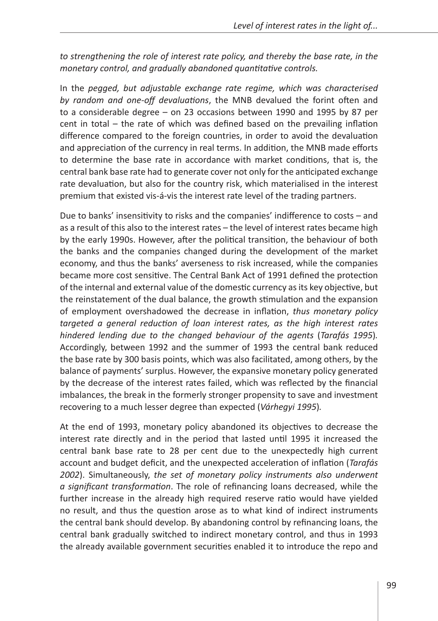*to strengthening the role of interest rate policy, and thereby the base rate, in the monetary control, and gradually abandoned quantitative controls.*

In the *pegged, but adjustable exchange rate regime, which was characterised by random and one-off devaluations*, the MNB devalued the forint often and to a considerable degree – on 23 occasions between 1990 and 1995 by 87 per cent in total – the rate of which was defined based on the prevailing inflation difference compared to the foreign countries, in order to avoid the devaluation and appreciation of the currency in real terms. In addition, the MNB made efforts to determine the base rate in accordance with market conditions, that is, the central bank base rate had to generate cover not only for the anticipated exchange rate devaluation, but also for the country risk, which materialised in the interest premium that existed vis-á-vis the interest rate level of the trading partners.

Due to banks' insensitivity to risks and the companies' indifference to costs – and as a result of this also to the interest rates – the level of interest rates became high by the early 1990s. However, after the political transition, the behaviour of both the banks and the companies changed during the development of the market economy, and thus the banks' averseness to risk increased, while the companies became more cost sensitive. The Central Bank Act of 1991 defined the protection of the internal and external value of the domestic currency as its key objective, but the reinstatement of the dual balance, the growth stimulation and the expansion of employment overshadowed the decrease in inflation, *thus monetary policy targeted a general reduction of loan interest rates, as the high interest rates hindered lending due to the changed behaviour of the agents* (*Tarafás 1995*)*.* Accordingly, between 1992 and the summer of 1993 the central bank reduced the base rate by 300 basis points, which was also facilitated, among others, by the balance of payments' surplus. However, the expansive monetary policy generated by the decrease of the interest rates failed, which was reflected by the financial imbalances, the break in the formerly stronger propensity to save and investment recovering to a much lesser degree than expected (*Várhegyi 1995*)*.*

At the end of 1993, monetary policy abandoned its objectives to decrease the interest rate directly and in the period that lasted until 1995 it increased the central bank base rate to 28 per cent due to the unexpectedly high current account and budget deficit, and the unexpected acceleration of inflation (*Tarafás 2002*). Simultaneously, *the set of monetary policy instruments also underwent a significant transformation*. The role of refinancing loans decreased, while the further increase in the already high required reserve ratio would have yielded no result, and thus the question arose as to what kind of indirect instruments the central bank should develop. By abandoning control by refinancing loans, the central bank gradually switched to indirect monetary control, and thus in 1993 the already available government securities enabled it to introduce the repo and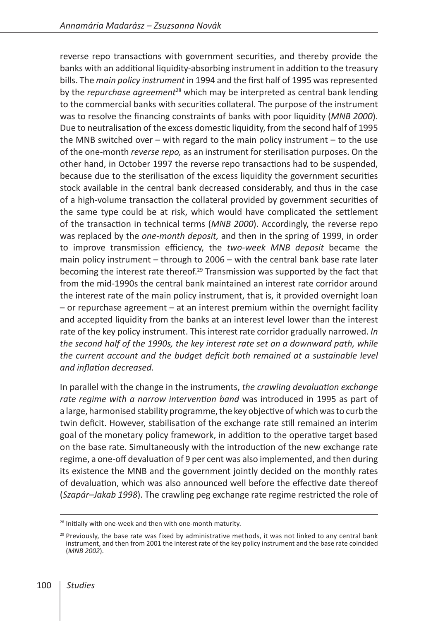reverse repo transactions with government securities, and thereby provide the banks with an additional liquidity-absorbing instrument in addition to the treasury bills. The *main policy instrument* in 1994 and the first half of 1995 was represented by the *repurchase agreement*28 which may be interpreted as central bank lending to the commercial banks with securities collateral. The purpose of the instrument was to resolve the financing constraints of banks with poor liquidity (*MNB 2000*). Due to neutralisation of the excess domestic liquidity, from the second half of 1995 the MNB switched over – with regard to the main policy instrument – to the use of the one-month *reverse repo,* as an instrument for sterilisation purposes. On the other hand, in October 1997 the reverse repo transactions had to be suspended, because due to the sterilisation of the excess liquidity the government securities stock available in the central bank decreased considerably, and thus in the case of a high-volume transaction the collateral provided by government securities of the same type could be at risk, which would have complicated the settlement of the transaction in technical terms (*MNB 2000*). Accordingly, the reverse repo was replaced by the *one-month deposit,* and then in the spring of 1999, in order to improve transmission efficiency, the *two-week MNB deposit* became the main policy instrument – through to 2006 – with the central bank base rate later becoming the interest rate thereof.<sup>29</sup> Transmission was supported by the fact that from the mid-1990s the central bank maintained an interest rate corridor around the interest rate of the main policy instrument, that is, it provided overnight loan – or repurchase agreement – at an interest premium within the overnight facility and accepted liquidity from the banks at an interest level lower than the interest rate of the key policy instrument. This interest rate corridor gradually narrowed. *In the second half of the 1990s, the key interest rate set on a downward path, while the current account and the budget deficit both remained at a sustainable level and inflation decreased.*

In parallel with the change in the instruments, *the crawling devaluation exchange rate regime with a narrow intervention band* was introduced in 1995 as part of a large, harmonised stability programme, the key objective of which was to curb the twin deficit. However, stabilisation of the exchange rate still remained an interim goal of the monetary policy framework, in addition to the operative target based on the base rate. Simultaneously with the introduction of the new exchange rate regime, a one-off devaluation of 9 per cent was also implemented, and then during its existence the MNB and the government jointly decided on the monthly rates of devaluation, which was also announced well before the effective date thereof (*Szapár–Jakab 1998*). The crawling peg exchange rate regime restricted the role of

<sup>&</sup>lt;sup>28</sup> Initially with one-week and then with one-month maturity.

 $29$  Previously, the base rate was fixed by administrative methods, it was not linked to any central bank instrument, and then from 2001 the interest rate of the key policy instrument and the base rate coincided (*MNB 2002*).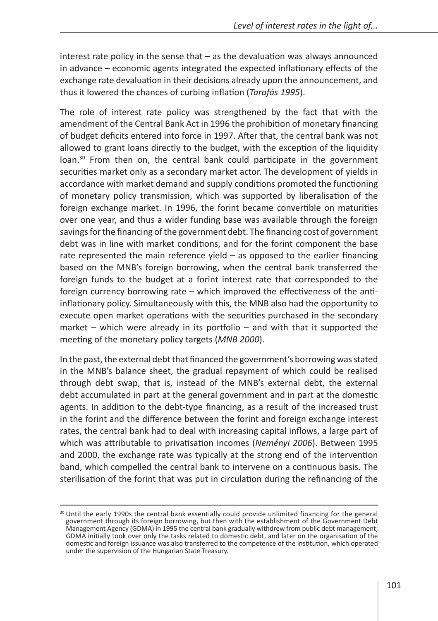interest rate policy in the sense that – as the devaluation was always announced in advance – economic agents integrated the expected inflationary effects of the exchange rate devaluation in their decisions already upon the announcement, and thus it lowered the chances of curbing inflation (*Tarafás 1995*).

The role of interest rate policy was strengthened by the fact that with the amendment of the Central Bank Act in 1996 the prohibition of monetary financing of budget deficits entered into force in 1997. After that, the central bank was not allowed to grant loans directly to the budget, with the exception of the liquidity loan.<sup>30</sup> From then on, the central bank could participate in the government securities market only as a secondary market actor. The development of yields in accordance with market demand and supply conditions promoted the functioning of monetary policy transmission, which was supported by liberalisation of the foreign exchange market. In 1996, the forint became convertible on maturities over one year, and thus a wider funding base was available through the foreign savings for the financing of the government debt. The financing cost of government debt was in line with market conditions, and for the forint component the base rate represented the main reference yield – as opposed to the earlier financing based on the MNB's foreign borrowing, when the central bank transferred the foreign funds to the budget at a forint interest rate that corresponded to the foreign currency borrowing rate – which improved the effectiveness of the antiinflationary policy. Simultaneously with this, the MNB also had the opportunity to execute open market operations with the securities purchased in the secondary market – which were already in its portfolio – and with that it supported the meeting of the monetary policy targets (*MNB 2000*).

In the past, the external debt that financed the government's borrowing was stated in the MNB's balance sheet, the gradual repayment of which could be realised through debt swap, that is, instead of the MNB's external debt, the external debt accumulated in part at the general government and in part at the domestic agents. In addition to the debt-type financing, as a result of the increased trust in the forint and the difference between the forint and foreign exchange interest rates, the central bank had to deal with increasing capital inflows, a large part of which was attributable to privatisation incomes (*Neményi 2006*). Between 1995 and 2000, the exchange rate was typically at the strong end of the intervention band, which compelled the central bank to intervene on a continuous basis. The sterilisation of the forint that was put in circulation during the refinancing of the

<sup>&</sup>lt;sup>30</sup> Until the early 1990s the central bank essentially could provide unlimited financing for the general government through its foreign borrowing, but then with the establishment of the Government Debt Management Agency (GDMA) in 1995 the central bank gradually withdrew from public debt management; GDMA initially took over only the tasks related to domestic debt, and later on the organisation of the domestic and foreign issuance was also transferred to the competence of the institution, which operated under the supervision of the Hungarian State Treasury.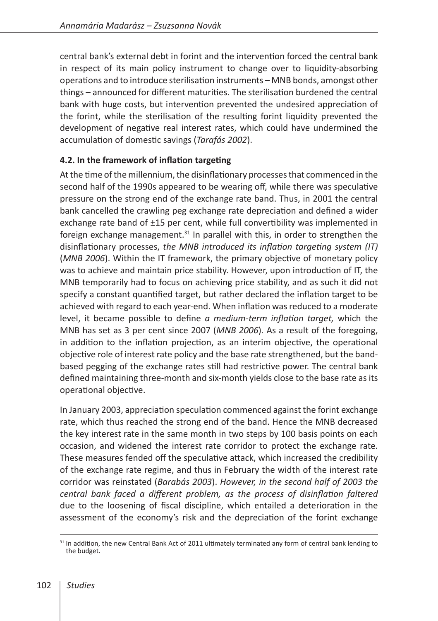central bank's external debt in forint and the intervention forced the central bank in respect of its main policy instrument to change over to liquidity-absorbing operations and to introduce sterilisation instruments – MNB bonds, amongst other things – announced for different maturities. The sterilisation burdened the central bank with huge costs, but intervention prevented the undesired appreciation of the forint, while the sterilisation of the resulting forint liquidity prevented the development of negative real interest rates, which could have undermined the accumulation of domestic savings (*Tarafás 2002*).

#### **4.2. In the framework of inflation targeting**

At the time of the millennium, the disinflationary processes that commenced in the second half of the 1990s appeared to be wearing off, while there was speculative pressure on the strong end of the exchange rate band. Thus, in 2001 the central bank cancelled the crawling peg exchange rate depreciation and defined a wider exchange rate band of ±15 per cent, while full convertibility was implemented in foreign exchange management. $31$  In parallel with this, in order to strengthen the disinflationary processes, *the MNB introduced its inflation targeting system (IT)*  (*MNB 2006*). Within the IT framework, the primary objective of monetary policy was to achieve and maintain price stability. However, upon introduction of IT, the MNB temporarily had to focus on achieving price stability, and as such it did not specify a constant quantified target, but rather declared the inflation target to be achieved with regard to each year-end. When inflation was reduced to a moderate level, it became possible to define *a medium-term inflation target,* which the MNB has set as 3 per cent since 2007 (*MNB 2006*). As a result of the foregoing, in addition to the inflation projection, as an interim objective, the operational objective role of interest rate policy and the base rate strengthened, but the bandbased pegging of the exchange rates still had restrictive power. The central bank defined maintaining three-month and six-month yields close to the base rate as its operational objective.

In January 2003, appreciation speculation commenced against the forint exchange rate, which thus reached the strong end of the band. Hence the MNB decreased the key interest rate in the same month in two steps by 100 basis points on each occasion, and widened the interest rate corridor to protect the exchange rate. These measures fended off the speculative attack, which increased the credibility of the exchange rate regime, and thus in February the width of the interest rate corridor was reinstated (*Barabás 2003*). *However, in the second half of 2003 the central bank faced a different problem, as the process of disinflation faltered* due to the loosening of fiscal discipline, which entailed a deterioration in the assessment of the economy's risk and the depreciation of the forint exchange

<sup>&</sup>lt;sup>31</sup> In addition, the new Central Bank Act of 2011 ultimately terminated any form of central bank lending to the budget.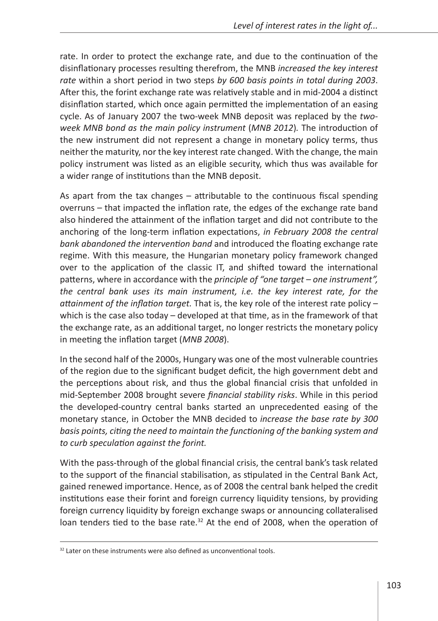rate. In order to protect the exchange rate, and due to the continuation of the disinflationary processes resulting therefrom, the MNB *increased the key interest rate* within a short period in two steps *by 600 basis points in total during 2003*. After this, the forint exchange rate was relatively stable and in mid-2004 a distinct disinflation started, which once again permitted the implementation of an easing cycle. As of January 2007 the two-week MNB deposit was replaced by the *twoweek MNB bond as the main policy instrument* (*MNB 2012*)*.* The introduction of the new instrument did not represent a change in monetary policy terms, thus neither the maturity, nor the key interest rate changed. With the change, the main policy instrument was listed as an eligible security, which thus was available for a wider range of institutions than the MNB deposit.

As apart from the tax changes – attributable to the continuous fiscal spending overruns – that impacted the inflation rate, the edges of the exchange rate band also hindered the attainment of the inflation target and did not contribute to the anchoring of the long-term inflation expectations, *in February 2008 the central bank abandoned the intervention band* and introduced the floating exchange rate regime. With this measure, the Hungarian monetary policy framework changed over to the application of the classic IT, and shifted toward the international patterns, where in accordance with the *principle of "one target – one instrument", the central bank uses its main instrument, i.e. the key interest rate, for the attainment of the inflation target.* That is, the key role of the interest rate policy – which is the case also today – developed at that time, as in the framework of that the exchange rate, as an additional target, no longer restricts the monetary policy in meeting the inflation target (*MNB 2008*).

In the second half of the 2000s, Hungary was one of the most vulnerable countries of the region due to the significant budget deficit, the high government debt and the perceptions about risk, and thus the global financial crisis that unfolded in mid-September 2008 brought severe *financial stability risks*. While in this period the developed-country central banks started an unprecedented easing of the monetary stance, in October the MNB decided to *increase the base rate by 300 basis points, citing the need to maintain the functioning of the banking system and to curb speculation against the forint.*

With the pass-through of the global financial crisis, the central bank's task related to the support of the financial stabilisation, as stipulated in the Central Bank Act, gained renewed importance. Hence, as of 2008 the central bank helped the credit institutions ease their forint and foreign currency liquidity tensions, by providing foreign currency liquidity by foreign exchange swaps or announcing collateralised loan tenders tied to the base rate. $32$  At the end of 2008, when the operation of

<sup>&</sup>lt;sup>32</sup> Later on these instruments were also defined as unconventional tools.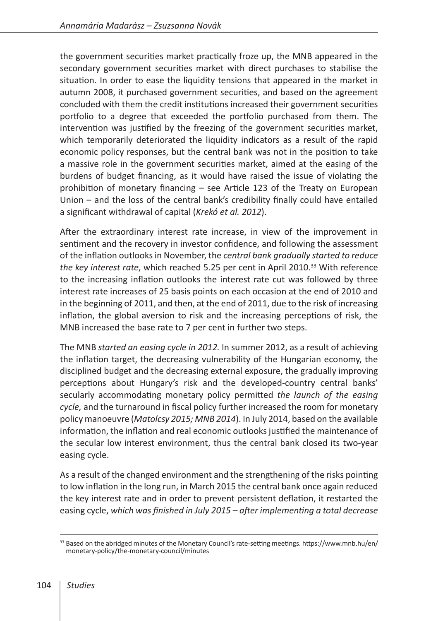the government securities market practically froze up, the MNB appeared in the secondary government securities market with direct purchases to stabilise the situation. In order to ease the liquidity tensions that appeared in the market in autumn 2008, it purchased government securities, and based on the agreement concluded with them the credit institutions increased their government securities portfolio to a degree that exceeded the portfolio purchased from them. The intervention was justified by the freezing of the government securities market, which temporarily deteriorated the liquidity indicators as a result of the rapid economic policy responses, but the central bank was not in the position to take a massive role in the government securities market, aimed at the easing of the burdens of budget financing, as it would have raised the issue of violating the prohibition of monetary financing – see Article 123 of the Treaty on European Union – and the loss of the central bank's credibility finally could have entailed a significant withdrawal of capital (*Krekó et al. 2012*).

After the extraordinary interest rate increase, in view of the improvement in sentiment and the recovery in investor confidence, and following the assessment of the inflation outlooks in November, the *central bank gradually started to reduce the key interest rate*, which reached 5.25 per cent in April 2010.<sup>33</sup> With reference to the increasing inflation outlooks the interest rate cut was followed by three interest rate increases of 25 basis points on each occasion at the end of 2010 and in the beginning of 2011, and then, at the end of 2011, due to the risk of increasing inflation, the global aversion to risk and the increasing perceptions of risk, the MNB increased the base rate to 7 per cent in further two steps.

The MNB *started an easing cycle in 2012.* In summer 2012, as a result of achieving the inflation target, the decreasing vulnerability of the Hungarian economy, the disciplined budget and the decreasing external exposure, the gradually improving perceptions about Hungary's risk and the developed-country central banks' secularly accommodating monetary policy permitted *the launch of the easing cycle,* and the turnaround in fiscal policy further increased the room for monetary policy manoeuvre (*Matolcsy 2015; MNB 2014*). In July 2014, based on the available information, the inflation and real economic outlooks justified the maintenance of the secular low interest environment, thus the central bank closed its two-year easing cycle.

As a result of the changed environment and the strengthening of the risks pointing to low inflation in the long run, in March 2015 the central bank once again reduced the key interest rate and in order to prevent persistent deflation, it restarted the easing cycle, *which was finished in July 2015 – after implementing a total decrease* 

<sup>&</sup>lt;sup>33</sup> Based on the abridged minutes of the Monetary Council's rate-setting meetings. https://www.mnb.hu/en/ monetary-policy/the-monetary-council/minutes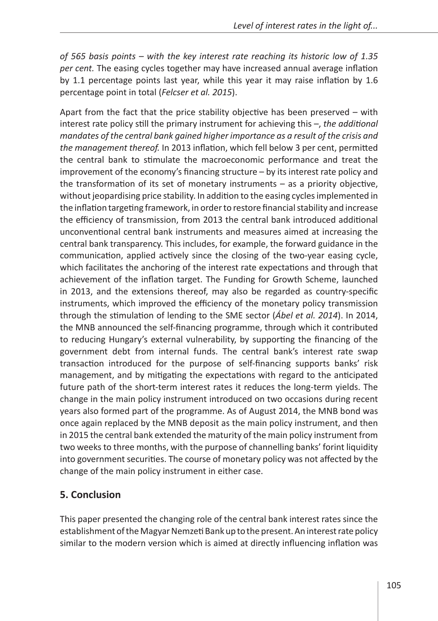*of 565 basis points – with the key interest rate reaching its historic low of 1.35 per cent.* The easing cycles together may have increased annual average inflation by 1.1 percentage points last year, while this year it may raise inflation by 1.6 percentage point in total (*Felcser et al. 2015*).

Apart from the fact that the price stability objective has been preserved – with interest rate policy still the primary instrument for achieving this –, *the additional mandates of the central bank gained higher importance as a result of the crisis and the management thereof.* In 2013 inflation, which fell below 3 per cent, permitted the central bank to stimulate the macroeconomic performance and treat the improvement of the economy's financing structure – by its interest rate policy and the transformation of its set of monetary instruments – as a priority objective, without jeopardising price stability. In addition to the easing cycles implemented in the inflation targeting framework, in order to restore financial stability and increase the efficiency of transmission, from 2013 the central bank introduced additional unconventional central bank instruments and measures aimed at increasing the central bank transparency. This includes, for example, the forward guidance in the communication, applied actively since the closing of the two-year easing cycle, which facilitates the anchoring of the interest rate expectations and through that achievement of the inflation target. The Funding for Growth Scheme, launched in 2013, and the extensions thereof, may also be regarded as country-specific instruments, which improved the efficiency of the monetary policy transmission through the stimulation of lending to the SME sector (*Ábel et al. 2014*). In 2014, the MNB announced the self-financing programme, through which it contributed to reducing Hungary's external vulnerability, by supporting the financing of the government debt from internal funds. The central bank's interest rate swap transaction introduced for the purpose of self-financing supports banks' risk management, and by mitigating the expectations with regard to the anticipated future path of the short-term interest rates it reduces the long-term yields. The change in the main policy instrument introduced on two occasions during recent years also formed part of the programme. As of August 2014, the MNB bond was once again replaced by the MNB deposit as the main policy instrument, and then in 2015 the central bank extended the maturity of the main policy instrument from two weeks to three months, with the purpose of channelling banks' forint liquidity into government securities. The course of monetary policy was not affected by the change of the main policy instrument in either case.

## **5. Conclusion**

This paper presented the changing role of the central bank interest rates since the establishment of the Magyar Nemzeti Bank up to the present. An interest rate policy similar to the modern version which is aimed at directly influencing inflation was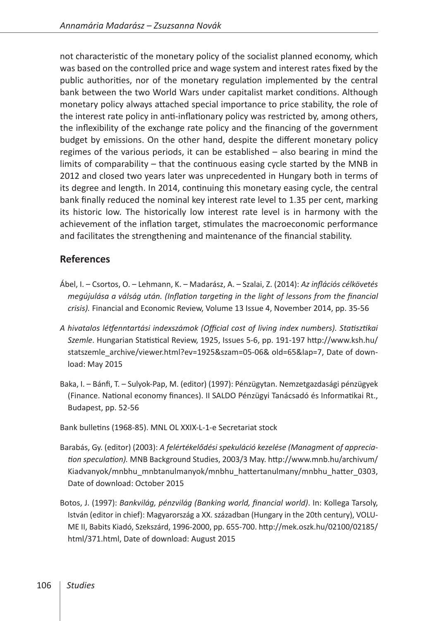not characteristic of the monetary policy of the socialist planned economy, which was based on the controlled price and wage system and interest rates fixed by the public authorities, nor of the monetary regulation implemented by the central bank between the two World Wars under capitalist market conditions. Although monetary policy always attached special importance to price stability, the role of the interest rate policy in anti-inflationary policy was restricted by, among others, the inflexibility of the exchange rate policy and the financing of the government budget by emissions. On the other hand, despite the different monetary policy regimes of the various periods, it can be established – also bearing in mind the limits of comparability – that the continuous easing cycle started by the MNB in 2012 and closed two years later was unprecedented in Hungary both in terms of its degree and length. In 2014, continuing this monetary easing cycle, the central bank finally reduced the nominal key interest rate level to 1.35 per cent, marking its historic low. The historically low interest rate level is in harmony with the achievement of the inflation target, stimulates the macroeconomic performance and facilitates the strengthening and maintenance of the financial stability.

#### **References**

- Ábel, I. Csortos, O. Lehmann, K. Madarász, A. Szalai, Z. (2014): *Az inflációs célkövetés megújulása a válság után. (Inflation targeting in the light of lessons from the financial crisis).* Financial and Economic Review, Volume 13 Issue 4, November 2014, pp. 35-56
- *A hivatalos létfenntartási indexszámok (Official cost of living index numbers). Statisztikai Szemle*. Hungarian Statistical Review, 1925, Issues 5-6, pp. 191-197 [http://www.ksh.hu/](http://www.ksh.hu/statszemle_archive/viewer.html?ev=1925&szam=05-06&old=65&lap=7) [statszemle\\_archive/viewer.html?ev=1925&szam=05-06& old=65&lap=7](http://www.ksh.hu/statszemle_archive/viewer.html?ev=1925&szam=05-06&old=65&lap=7), Date of download: May 2015
- Baka, I. Bánfi, T. Sulyok-Pap, M. (editor) (1997): Pénzügytan. Nemzetgazdasági pénzügyek (Finance. National economy finances). II SALDO Pénzügyi Tanácsadó és Informatikai Rt., Budapest, pp. 52-56

Bank bulletins (1968-85). MNL OL XXIX-L-1-e Secretariat stock

- Barabás, Gy. (editor) (2003): *A felértékelődési spekuláció kezelése (Managment of appreciation speculation).* MNB Background Studies, 2003/3 May. [http://www.mnb.hu/archivum/](http://www.mnb.hu/archivum/Kiadvanyok/mnbhu_mnbtanulmanyok/mnbhu_hattertanulmany/mnbhu_hatter_0303) [Kiadvanyok/mnbhu\\_mnbtanulmanyok/mnbhu\\_hattertanulmany/mnbhu\\_hatter\\_0303,](http://www.mnb.hu/archivum/Kiadvanyok/mnbhu_mnbtanulmanyok/mnbhu_hattertanulmany/mnbhu_hatter_0303) Date of download: October 2015
- Botos, J. (1997): *Bankvilág, pénzvilág (Banking world, financial world)*. In: Kollega Tarsoly, István (editor in chief): Magyarország a XX. században (Hungary in the 20th century), VOLU-ME II, Babits Kiadó, Szekszárd, 1996-2000, pp. 655-700. [http://mek.oszk.hu/02100/02185/](http://mek.oszk.hu/02100/02185/html/371.html) [html/371.html,](http://mek.oszk.hu/02100/02185/html/371.html) Date of download: August 2015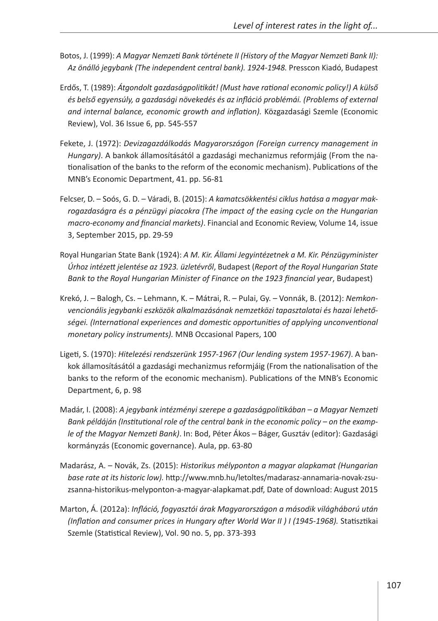- Botos, J. (1999): *A Magyar Nemzeti Bank története II (History of the Magyar Nemzeti Bank II): Az önálló jegybank (The independent central bank). 1924-1948.* Presscon Kiadó, Budapest
- Erdős, T. (1989): *Átgondolt gazdaságpolitikát! (Must have rational economic policy!) A külső és belső egyensúly, a gazdasági növekedés és az infláció problémái. (Problems of external and internal balance, economic growth and inflation).* Közgazdasági Szemle (Economic Review), Vol. 36 Issue 6, pp. 545-557
- Fekete, J. (1972): *Devizagazdálkodás Magyarországon (Foreign currency management in Hungary)*. A bankok államosításától a gazdasági mechanizmus reformjáig (From the nationalisation of the banks to the reform of the economic mechanism). Publications of the MNB's Economic Department, 41. pp. 56-81
- Felcser, D. Soós, G. D. Váradi, B. (2015): *A kamatcsökkentési ciklus hatása a magyar makrogazdaságra és a pénzügyi piacokra (The impact of the easing cycle on the Hungarian macro-economy and financial markets)*. Financial and Economic Review, Volume 14, issue 3, September 2015, pp. 29-59
- Royal Hungarian State Bank (1924): *A M. Kir. Állami Jegyintézetnek a M. Kir. Pénzügyminister Úrhoz intézett jelentése az 1923. üzletévről*, Budapest (*Report of the Royal Hungarian State Bank to the Royal Hungarian Minister of Finance on the 1923 financial year*, Budapest)
- Krekó, J. Balogh, Cs. Lehmann, K. Mátrai, R. Pulai, Gy. Vonnák, B. (2012): *Nemkonvencionális jegybanki eszközök alkalmazásának nemzetközi tapasztalatai és hazai lehetőségei. (International experiences and domestic opportunities of applying unconventional monetary policy instruments).* MNB Occasional Papers, 100
- Ligeti, S. (1970): *Hitelezési rendszerünk 1957-1967 (Our lending system 1957-1967)*. A bankok államosításától a gazdasági mechanizmus reformjáig (From the nationalisation of the banks to the reform of the economic mechanism). Publications of the MNB's Economic Department, 6, p. 98
- Madár, I. (2008): *A jegybank intézményi szerepe a gazdaságpolitikában a Magyar Nemzeti Bank példáján (Institutional role of the central bank in the economic policy – on the example of the Magyar Nemzeti Bank)*. In: Bod, Péter Ákos – Báger, Gusztáv (editor): Gazdasági kormányzás (Economic governance). Aula, pp. 63-80
- Madarász, A. Novák, Zs. (2015): *Historikus mélyponton a magyar alapkamat (Hungarian base rate at its historic low).* [http://www.mnb.hu/letoltes/madarasz-annamaria-novak-zsu](http://www.mnb.hu/letoltes/madarasz-annamaria-novak-zsuzsanna-historikus-melyponton-a-magyar-alapkamat.pdf)[zsanna-historikus-melyponton-a-magyar-alapkamat.pdf,](http://www.mnb.hu/letoltes/madarasz-annamaria-novak-zsuzsanna-historikus-melyponton-a-magyar-alapkamat.pdf) Date of download: August 2015
- Marton, Á. (2012a): *Infláció, fogyasztói árak Magyarországon a második világháború után (Inflation and consumer prices in Hungary after World War II ) I (1945-1968).* Statisztikai Szemle (Statistical Review), Vol. 90 no. 5, pp. 373-393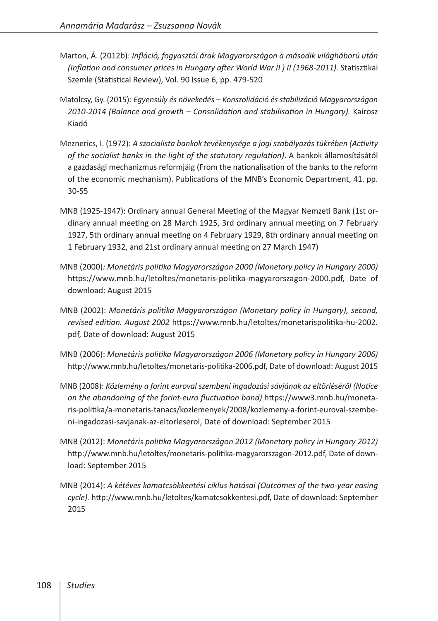- Marton, Á. (2012b): *Infláció, fogyasztói árak Magyarországon a második világháború után (Inflation and consumer prices in Hungary after World War II ) II (1968-2011).* Statisztikai Szemle (Statistical Review), Vol. 90 Issue 6, pp. 479-520
- Matolcsy, Gy. (2015): *Egyensúly és növekedés Konszolidáció és stabilizáció Magyarországon 2010-2014 (Balance and growth – Consolidation and stabilisation in Hungary).* Kairosz Kiadó
- Meznerics, I. (1972): *A szocialista bankok tevékenysége a jogi szabályozás tükrében (Activity of the socialist banks in the light of the statutory regulation)*. A bankok államosításától a gazdasági mechanizmus reformjáig (From the nationalisation of the banks to the reform of the economic mechanism). Publications of the MNB's Economic Department, 41. pp. 30-55
- MNB (1925-1947): Ordinary annual General Meeting of the Magyar Nemzeti Bank (1st ordinary annual meeting on 28 March 1925, 3rd ordinary annual meeting on 7 February 1927, 5th ordinary annual meeting on 4 February 1929, 8th ordinary annual meeting on 1 February 1932, and 21st ordinary annual meeting on 27 March 1947)
- MNB (2000)*: Monetáris politika Magyarországon 2000 (Monetary policy in Hungary 2000)* [https://www.mnb.hu/letoltes/monetaris-politika-magyarorszagon-2000.pdf,](https://www.mnb.hu/letoltes/monetaris-politika-magyarorszagon-2000.pdf) Date of download: August 2015
- MNB (2002): *Monetáris politika Magyarországon (Monetary policy in Hungary), second, revised edition. August 2002* [https://www.mnb.hu/letoltes/monetarispolitika-hu-2002.](https://www.mnb.hu/letoltes/monetarispolitika-hu-2002.pdf) [pdf,](https://www.mnb.hu/letoltes/monetarispolitika-hu-2002.pdf) Date of download: August 2015
- MNB (2006): *Monetáris politika Magyarországon 2006 (Monetary policy in Hungary 2006)* [http://www.mnb.hu/letoltes/monetaris-politika-2006.pdf,](http://www.mnb.hu/letoltes/monetaris-politika-2006.pdf) Date of download: August 2015
- MNB (2008): *Közlemény a forint euroval szembeni ingadozási sávjának az eltörléséről (Notice on the abandoning of the forint-euro fluctuation band)* [https://www3.mnb.hu/moneta](https://www3.mnb.hu/monetaris-politika/a-monetaris-tanacs/kozlemenyek/2008/kozlemeny-a-forint-euroval-szembeni-ingadozasi-savjanak-az-eltorleserol)[ris-politika/a-monetaris-tanacs/kozlemenyek/2008/kozlemeny-a-forint-euroval-szembe](https://www3.mnb.hu/monetaris-politika/a-monetaris-tanacs/kozlemenyek/2008/kozlemeny-a-forint-euroval-szembeni-ingadozasi-savjanak-az-eltorleserol)[ni-ingadozasi-savjanak-az-eltorleserol](https://www3.mnb.hu/monetaris-politika/a-monetaris-tanacs/kozlemenyek/2008/kozlemeny-a-forint-euroval-szembeni-ingadozasi-savjanak-az-eltorleserol), Date of download: September 2015
- MNB (2012): *Monetáris politika Magyarországon 2012 (Monetary policy in Hungary 2012)*  <http://www.mnb.hu/letoltes/monetaris-politika-magyarorszagon-2012.pdf>, Date of download: September 2015
- MNB (2014): *A kétéves kamatcsökkentési ciklus hatásai (Outcomes of the two-year easing cycle).* [http://www.mnb.hu/letoltes/kamatcsokkentesi.pdf,](http://www.mnb.hu/letoltes/kamatcsokkentesi.pdf) Date of download: September 2015